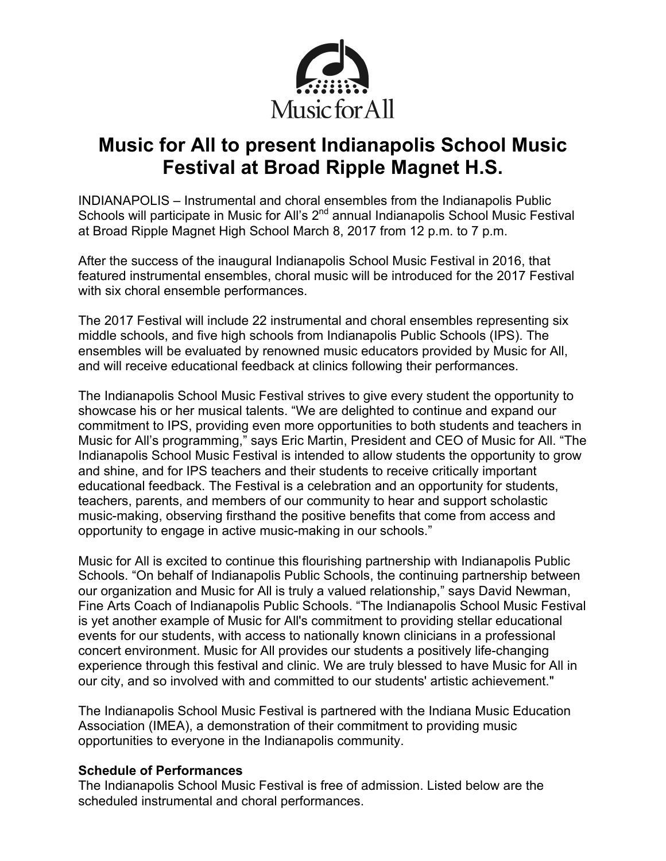

# **Music for All to present Indianapolis School Music Festival at Broad Ripple Magnet H.S.**

INDIANAPOLIS – Instrumental and choral ensembles from the Indianapolis Public Schools will participate in Music for All's 2<sup>nd</sup> annual Indianapolis School Music Festival at Broad Ripple Magnet High School March 8, 2017 from 12 p.m. to 7 p.m.

After the success of the inaugural Indianapolis School Music Festival in 2016, that featured instrumental ensembles, choral music will be introduced for the 2017 Festival with six choral ensemble performances.

The 2017 Festival will include 22 instrumental and choral ensembles representing six middle schools, and five high schools from Indianapolis Public Schools (IPS). The ensembles will be evaluated by renowned music educators provided by Music for All, and will receive educational feedback at clinics following their performances.

The Indianapolis School Music Festival strives to give every student the opportunity to showcase his or her musical talents. "We are delighted to continue and expand our commitment to IPS, providing even more opportunities to both students and teachers in Music for All's programming," says Eric Martin, President and CEO of Music for All. "The Indianapolis School Music Festival is intended to allow students the opportunity to grow and shine, and for IPS teachers and their students to receive critically important educational feedback. The Festival is a celebration and an opportunity for students, teachers, parents, and members of our community to hear and support scholastic music-making, observing firsthand the positive benefits that come from access and opportunity to engage in active music-making in our schools."

Music for All is excited to continue this flourishing partnership with Indianapolis Public Schools. "On behalf of Indianapolis Public Schools, the continuing partnership between our organization and Music for All is truly a valued relationship," says David Newman, Fine Arts Coach of Indianapolis Public Schools. "The Indianapolis School Music Festival is yet another example of Music for All's commitment to providing stellar educational events for our students, with access to nationally known clinicians in a professional concert environment. Music for All provides our students a positively life-changing experience through this festival and clinic. We are truly blessed to have Music for All in our city, and so involved with and committed to our students' artistic achievement."

The Indianapolis School Music Festival is partnered with the Indiana Music Education Association (IMEA), a demonstration of their commitment to providing music opportunities to everyone in the Indianapolis community.

# **Schedule of Performances**

The Indianapolis School Music Festival is free of admission. Listed below are the scheduled instrumental and choral performances.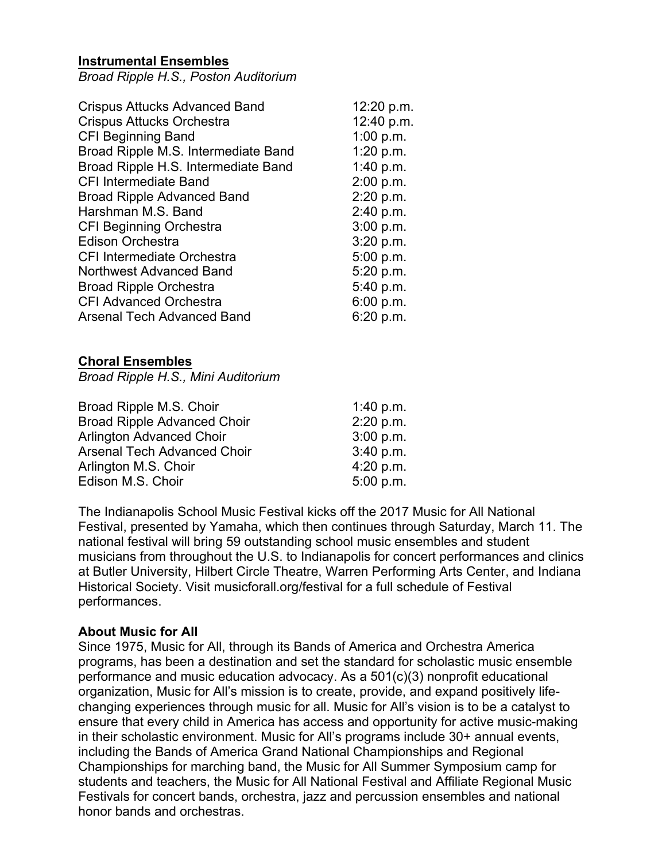# **Instrumental Ensembles**

*Broad Ripple H.S., Poston Auditorium*

| <b>Crispus Attucks Advanced Band</b> | 12:20 p.m. |
|--------------------------------------|------------|
| Crispus Attucks Orchestra            | 12:40 p.m. |
| <b>CFI Beginning Band</b>            | 1:00 p.m.  |
| Broad Ripple M.S. Intermediate Band  | 1:20 p.m.  |
| Broad Ripple H.S. Intermediate Band  | 1:40 p.m.  |
| <b>CFI Intermediate Band</b>         | 2:00 p.m.  |
| <b>Broad Ripple Advanced Band</b>    | 2:20 p.m.  |
| Harshman M.S. Band                   | 2:40 p.m.  |
| <b>CFI Beginning Orchestra</b>       | 3:00 p.m.  |
| <b>Edison Orchestra</b>              | 3:20 p.m.  |
| <b>CFI Intermediate Orchestra</b>    | 5:00 p.m.  |
| Northwest Advanced Band              | 5:20 p.m.  |
| <b>Broad Ripple Orchestra</b>        | 5:40 p.m.  |
| <b>CFI Advanced Orchestra</b>        | 6:00 p.m.  |
| <b>Arsenal Tech Advanced Band</b>    | 6:20 p.m.  |

## **Choral Ensembles**

*Broad Ripple H.S., Mini Auditorium*

| Broad Ripple M.S. Choir            | 1:40 p.m. |
|------------------------------------|-----------|
| <b>Broad Ripple Advanced Choir</b> | 2:20 p.m. |
| <b>Arlington Advanced Choir</b>    | 3:00 p.m. |
| <b>Arsenal Tech Advanced Choir</b> | 3:40 p.m. |
| Arlington M.S. Choir               | 4:20 p.m. |
| Edison M.S. Choir                  | 5:00 p.m. |

The Indianapolis School Music Festival kicks off the 2017 Music for All National Festival, presented by Yamaha, which then continues through Saturday, March 11. The national festival will bring 59 outstanding school music ensembles and student musicians from throughout the U.S. to Indianapolis for concert performances and clinics at Butler University, Hilbert Circle Theatre, Warren Performing Arts Center, and Indiana Historical Society. Visit musicforall.org/festival for a full schedule of Festival performances.

#### **About Music for All**

Since 1975, Music for All, through its Bands of America and Orchestra America programs, has been a destination and set the standard for scholastic music ensemble performance and music education advocacy. As a 501(c)(3) nonprofit educational organization, Music for All's mission is to create, provide, and expand positively lifechanging experiences through music for all. Music for All's vision is to be a catalyst to ensure that every child in America has access and opportunity for active music-making in their scholastic environment. Music for All's programs include 30+ annual events, including the Bands of America Grand National Championships and Regional Championships for marching band, the Music for All Summer Symposium camp for students and teachers, the Music for All National Festival and Affiliate Regional Music Festivals for concert bands, orchestra, jazz and percussion ensembles and national honor bands and orchestras.